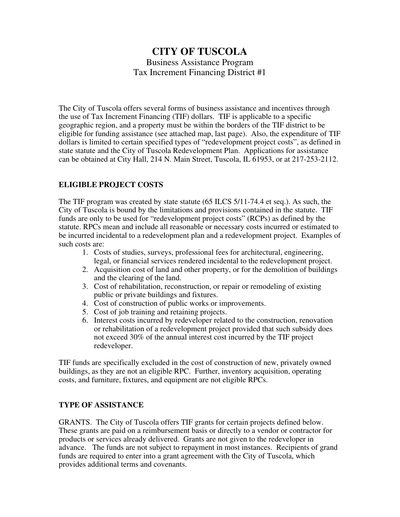# **CITY OF TUSCOLA** Business Assistance Program Tax Increment Financing District #1

The City of Tuscola offers several forms of business assistance and incentives through the use of Tax Increment Financing (TIF) dollars. TIF is applicable to a specific geographic region, and a property must be within the borders of the TIF district to be eligible for funding assistance (see attached map, last page). Also, the expenditure of TIF dollars is limited to certain specified types of "redevelopment project costs", as defined in state statute and the City of Tuscola Redevelopment Plan. Applications for assistance can be obtained at City Hall, 214 N. Main Street, Tuscola, IL 61953, or at 217-253-2112.

## **ELIGIBLE PROJECT COSTS**

The TIF program was created by state statute (65 ILCS 5/11-74.4 et seq.). As such, the City of Tuscola is bound by the limitations and provisions contained in the statute. TIF funds are only to be used for "redevelopment project costs" (RCPs) as defined by the statute. RPCs mean and include all reasonable or necessary costs incurred or estimated to be incurred incidental to a redevelopment plan and a redevelopment project. Examples of such costs are:

- 1. Costs of studies, surveys, professional fees for architectural, engineering, legal, or financial services rendered incidental to the redevelopment project.
- 2. Acquisition cost of land and other property, or for the demolition of buildings and the clearing of the land.
- 3. Cost of rehabilitation, reconstruction, or repair or remodeling of existing public or private buildings and fixtures.
- 4. Cost of construction of public works or improvements.
- 5. Cost of job training and retaining projects.
- 6. Interest costs incurred by redeveloper related to the construction, renovation or rehabilitation of a redevelopment project provided that such subsidy does not exceed 30% of the annual interest cost incurred by the TIF project redeveloper.

TIF funds are specifically excluded in the cost of construction of new, privately owned buildings, as they are not an eligible RPC. Further, inventory acquisition, operating costs, and furniture, fixtures, and equipment are not eligible RPCs.

## **TYPE OF ASSISTANCE**

GRANTS. The City of Tuscola offers TIF grants for certain projects defined below. These grants are paid on a reimbursement basis or directly to a vendor or contractor for products or services already delivered. Grants are not given to the redeveloper in advance. The funds are not subject to repayment in most instances. Recipients of grand funds are required to enter into a grant agreement with the City of Tuscola, which provides additional terms and covenants.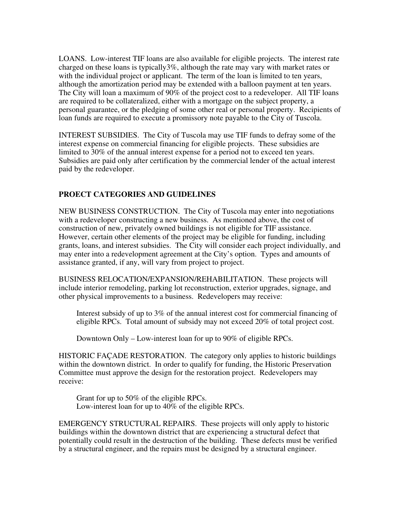LOANS. Low-interest TIF loans are also available for eligible projects. The interest rate charged on these loans is typically3%, although the rate may vary with market rates or with the individual project or applicant. The term of the loan is limited to ten years, although the amortization period may be extended with a balloon payment at ten years. The City will loan a maximum of 90% of the project cost to a redeveloper. All TIF loans are required to be collateralized, either with a mortgage on the subject property, a personal guarantee, or the pledging of some other real or personal property. Recipients of loan funds are required to execute a promissory note payable to the City of Tuscola.

INTEREST SUBSIDIES. The City of Tuscola may use TIF funds to defray some of the interest expense on commercial financing for eligible projects. These subsidies are limited to 30% of the annual interest expense for a period not to exceed ten years. Subsidies are paid only after certification by the commercial lender of the actual interest paid by the redeveloper.

### **PROECT CATEGORIES AND GUIDELINES**

NEW BUSINESS CONSTRUCTION. The City of Tuscola may enter into negotiations with a redeveloper constructing a new business. As mentioned above, the cost of construction of new, privately owned buildings is not eligible for TIF assistance. However, certain other elements of the project may be eligible for funding, including grants, loans, and interest subsidies. The City will consider each project individually, and may enter into a redevelopment agreement at the City's option. Types and amounts of assistance granted, if any, will vary from project to project.

BUSINESS RELOCATION/EXPANSION/REHABILITATION. These projects will include interior remodeling, parking lot reconstruction, exterior upgrades, signage, and other physical improvements to a business. Redevelopers may receive:

Interest subsidy of up to 3% of the annual interest cost for commercial financing of eligible RPCs. Total amount of subsidy may not exceed 20% of total project cost.

Downtown Only – Low-interest loan for up to 90% of eligible RPCs.

HISTORIC FAÇADE RESTORATION. The category only applies to historic buildings within the downtown district. In order to qualify for funding, the Historic Preservation Committee must approve the design for the restoration project. Redevelopers may receive:

Grant for up to 50% of the eligible RPCs. Low-interest loan for up to 40% of the eligible RPCs.

EMERGENCY STRUCTURAL REPAIRS. These projects will only apply to historic buildings within the downtown district that are experiencing a structural defect that potentially could result in the destruction of the building. These defects must be verified by a structural engineer, and the repairs must be designed by a structural engineer.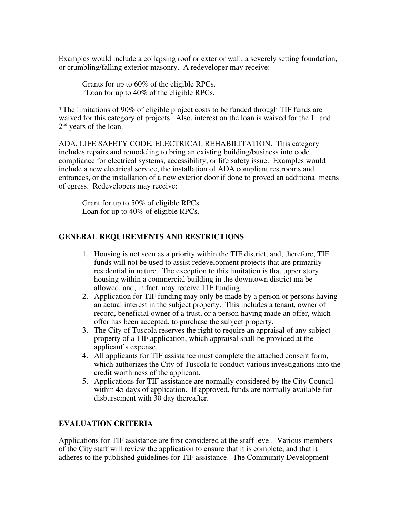Examples would include a collapsing roof or exterior wall, a severely setting foundation, or crumbling/falling exterior masonry. A redeveloper may receive:

Grants for up to 60% of the eligible RPCs. \*Loan for up to 40% of the eligible RPCs.

\*The limitations of 90% of eligible project costs to be funded through TIF funds are waived for this category of projects. Also, interest on the loan is waived for the  $1<sup>st</sup>$  and 2<sup>nd</sup> years of the loan.

ADA, LIFE SAFETY CODE, ELECTRICAL REHABILITATION. This category includes repairs and remodeling to bring an existing building/business into code compliance for electrical systems, accessibility, or life safety issue. Examples would include a new electrical service, the installation of ADA compliant restrooms and entrances, or the installation of a new exterior door if done to proved an additional means of egress. Redevelopers may receive:

Grant for up to 50% of eligible RPCs. Loan for up to 40% of eligible RPCs.

## **GENERAL REQUIREMENTS AND RESTRICTIONS**

- 1. Housing is not seen as a priority within the TIF district, and, therefore, TIF funds will not be used to assist redevelopment projects that are primarily residential in nature. The exception to this limitation is that upper story housing within a commercial building in the downtown district ma be allowed, and, in fact, may receive TIF funding.
- 2. Application for TIF funding may only be made by a person or persons having an actual interest in the subject property. This includes a tenant, owner of record, beneficial owner of a trust, or a person having made an offer, which offer has been accepted, to purchase the subject property.
- 3. The City of Tuscola reserves the right to require an appraisal of any subject property of a TIF application, which appraisal shall be provided at the applicant's expense.
- 4. All applicants for TIF assistance must complete the attached consent form, which authorizes the City of Tuscola to conduct various investigations into the credit worthiness of the applicant.
- 5. Applications for TIF assistance are normally considered by the City Council within 45 days of application. If approved, funds are normally available for disbursement with 30 day thereafter.

#### **EVALUATION CRITERIA**

Applications for TIF assistance are first considered at the staff level. Various members of the City staff will review the application to ensure that it is complete, and that it adheres to the published guidelines for TIF assistance. The Community Development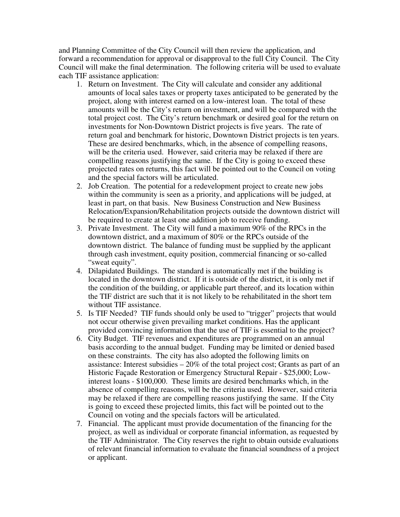and Planning Committee of the City Council will then review the application, and forward a recommendation for approval or disapproval to the full City Council. The City Council will make the final determination. The following criteria will be used to evaluate each TIF assistance application:

- 1. Return on Investment. The City will calculate and consider any additional amounts of local sales taxes or property taxes anticipated to be generated by the project, along with interest earned on a low-interest loan. The total of these amounts will be the City's return on investment, and will be compared with the total project cost. The City's return benchmark or desired goal for the return on investments for Non-Downtown District projects is five years. The rate of return goal and benchmark for historic, Downtown District projects is ten years. These are desired benchmarks, which, in the absence of compelling reasons, will be the criteria used. However, said criteria may be relaxed if there are compelling reasons justifying the same. If the City is going to exceed these projected rates on returns, this fact will be pointed out to the Council on voting and the special factors will be articulated.
- 2. Job Creation. The potential for a redevelopment project to create new jobs within the community is seen as a priority, and applications will be judged, at least in part, on that basis. New Business Construction and New Business Relocation/Expansion/Rehabilitation projects outside the downtown district will be required to create at least one addition job to receive funding.
- 3. Private Investment. The City will fund a maximum 90% of the RPCs in the downtown district, and a maximum of 80% or the RPCs outside of the downtown district. The balance of funding must be supplied by the applicant through cash investment, equity position, commercial financing or so-called "sweat equity".
- 4. Dilapidated Buildings. The standard is automatically met if the building is located in the downtown district. If it is outside of the district, it is only met if the condition of the building, or applicable part thereof, and its location within the TIF district are such that it is not likely to be rehabilitated in the short tem without TIF assistance.
- 5. Is TIF Needed? TIF funds should only be used to "trigger" projects that would not occur otherwise given prevailing market conditions. Has the applicant provided convincing information that the use of TIF is essential to the project?
- 6. City Budget. TIF revenues and expenditures are programmed on an annual basis according to the annual budget. Funding may be limited or denied based on these constraints. The city has also adopted the following limits on assistance: Interest subsidies  $-20\%$  of the total project cost; Grants as part of an Historic Façade Restoration or Emergency Structural Repair - \$25,000; Lowinterest loans - \$100,000. These limits are desired benchmarks which, in the absence of compelling reasons, will be the criteria used. However, said criteria may be relaxed if there are compelling reasons justifying the same. If the City is going to exceed these projected limits, this fact will be pointed out to the Council on voting and the specials factors will be articulated.
- 7. Financial. The applicant must provide documentation of the financing for the project, as well as individual or corporate financial information, as requested by the TIF Administrator. The City reserves the right to obtain outside evaluations of relevant financial information to evaluate the financial soundness of a project or applicant.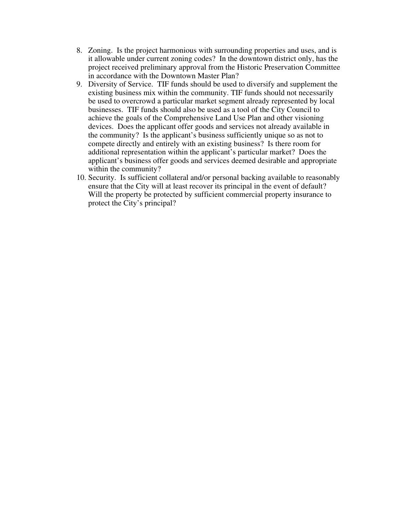- 8. Zoning. Is the project harmonious with surrounding properties and uses, and is it allowable under current zoning codes? In the downtown district only, has the project received preliminary approval from the Historic Preservation Committee in accordance with the Downtown Master Plan?
- 9. Diversity of Service. TIF funds should be used to diversify and supplement the existing business mix within the community. TIF funds should not necessarily be used to overcrowd a particular market segment already represented by local businesses. TIF funds should also be used as a tool of the City Council to achieve the goals of the Comprehensive Land Use Plan and other visioning devices. Does the applicant offer goods and services not already available in the community? Is the applicant's business sufficiently unique so as not to compete directly and entirely with an existing business? Is there room for additional representation within the applicant's particular market? Does the applicant's business offer goods and services deemed desirable and appropriate within the community?
- 10. Security. Is sufficient collateral and/or personal backing available to reasonably ensure that the City will at least recover its principal in the event of default? Will the property be protected by sufficient commercial property insurance to protect the City's principal?